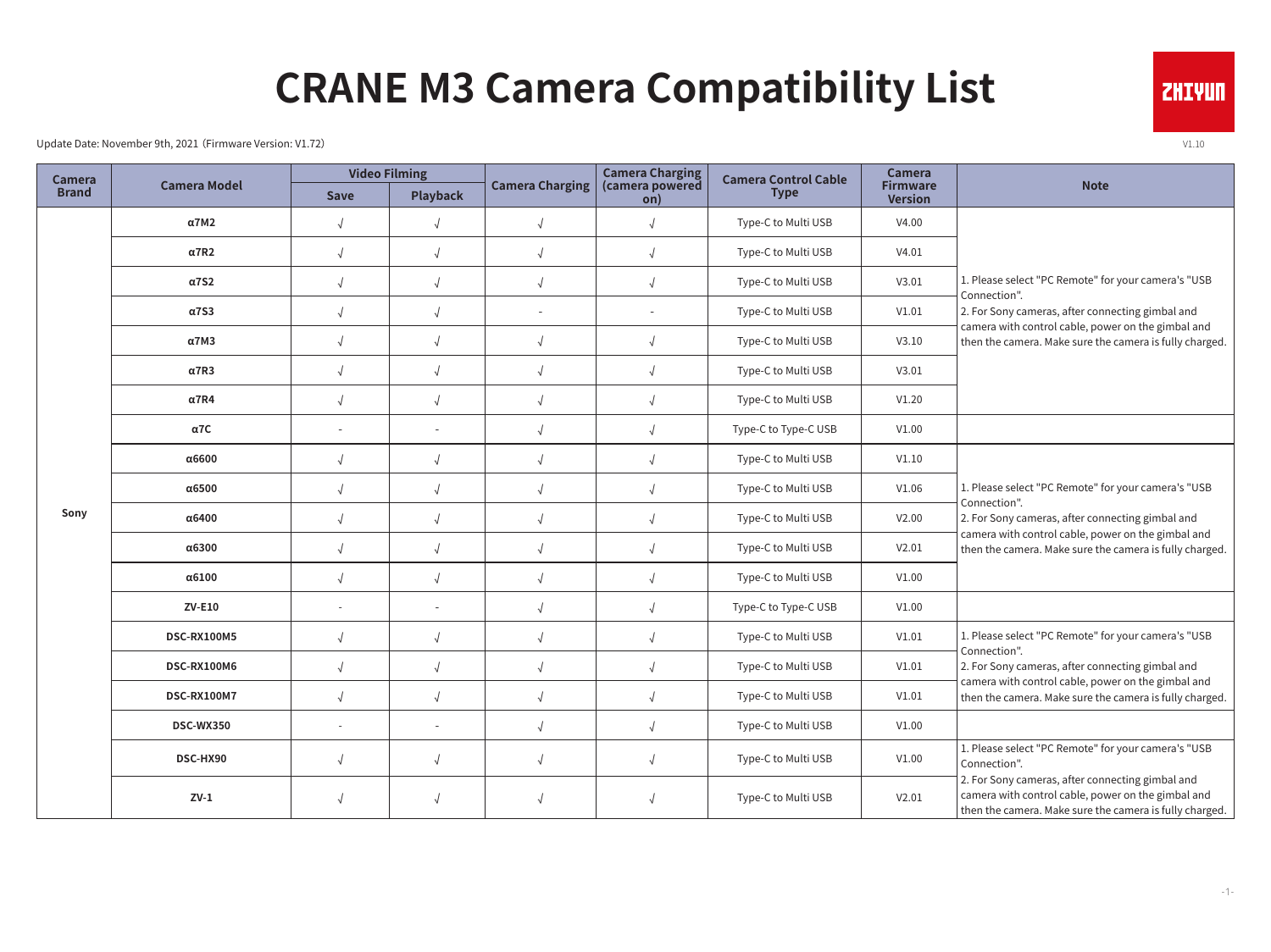## **CRANE M3 Camera Compatibility List**

Update Date: November 9th, 2021 (Firmware Version: V1.72)  $V1.10$ 

| Camera<br><b>Brand</b> | <b>Camera Model</b> | <b>Video Filming</b>     |                 |                        | <b>Camera Charging</b>               | <b>Camera Control Cable</b> | <b>Camera</b>                     |                                                                                                                                                                                                                                          |
|------------------------|---------------------|--------------------------|-----------------|------------------------|--------------------------------------|-----------------------------|-----------------------------------|------------------------------------------------------------------------------------------------------------------------------------------------------------------------------------------------------------------------------------------|
|                        |                     | <b>Save</b>              | <b>Playback</b> | <b>Camera Charging</b> | (camera powered<br>$\overline{on}$ ) | <b>Type</b>                 | <b>Firmware</b><br><b>Version</b> | <b>Note</b>                                                                                                                                                                                                                              |
| Sony                   | $\alpha$ 7M2        | $\sqrt{2}$               | $\sqrt{ }$      | $\sqrt{ }$             | $\sqrt{2}$                           | Type-C to Multi USB         | V4.00                             | 1. Please select "PC Remote" for your camera's "USB<br>Connection".<br>2. For Sony cameras, after connecting gimbal and<br>camera with control cable, power on the gimbal and<br>then the camera. Make sure the camera is fully charged. |
|                        | $\alpha$ 7R2        | $\sqrt{2}$               | $\sqrt{2}$      | $\sqrt{2}$             | $\sqrt{ }$                           | Type-C to Multi USB         | V4.01                             |                                                                                                                                                                                                                                          |
|                        | $\alpha$ 7S2        | $\sqrt{ }$               | $\sqrt{2}$      | $\sqrt{ }$             | $\sqrt{ }$                           | Type-C to Multi USB         | V3.01                             |                                                                                                                                                                                                                                          |
|                        | $\alpha$ 7S3        | $\sqrt{2}$               | $\sqrt{2}$      |                        | $\sim$                               | Type-C to Multi USB         | V1.01                             |                                                                                                                                                                                                                                          |
|                        | $\alpha$ 7M3        | $\sqrt{2}$               | $\sqrt{2}$      | $\sqrt{2}$             | $\sqrt{2}$                           | Type-C to Multi USB         | V3.10                             |                                                                                                                                                                                                                                          |
|                        | $\alpha$ 7R3        | $\sqrt{ }$               | $\sqrt{2}$      | $\sqrt{2}$             | $\sqrt{ }$                           | Type-C to Multi USB         | V3.01                             |                                                                                                                                                                                                                                          |
|                        | $\alpha$ 7R4        | $\sqrt{2}$               | $\sqrt{ }$      | $\sqrt{2}$             | $\sqrt{ }$                           | Type-C to Multi USB         | V1.20                             |                                                                                                                                                                                                                                          |
|                        | $\alpha$ 7C         | $\sim$                   | $\sim$          | $\sqrt{ }$             | $\sqrt{ }$                           | Type-C to Type-C USB        | V1.00                             |                                                                                                                                                                                                                                          |
|                        | α6600               | $\sqrt{2}$               | $\sqrt{2}$      | $\sqrt{ }$             | $\sqrt{2}$                           | Type-C to Multi USB         | V1.10                             | 1. Please select "PC Remote" for your camera's "USB<br>Connection".<br>2. For Sony cameras, after connecting gimbal and<br>camera with control cable, power on the gimbal and<br>then the camera. Make sure the camera is fully charged. |
|                        | α6500               | $\sqrt{2}$               | $\sqrt{2}$      | $\sqrt{2}$             | $\sqrt{ }$                           | Type-C to Multi USB         | V1.06                             |                                                                                                                                                                                                                                          |
|                        | α6400               | $\sqrt{2}$               | $\sqrt{2}$      | $\sqrt{2}$             | $\sqrt{ }$                           | Type-C to Multi USB         | V2.00                             |                                                                                                                                                                                                                                          |
|                        | α6300               | $\sqrt{ }$               | $\sqrt{2}$      | $\sqrt{ }$             | $\sqrt{ }$                           | Type-C to Multi USB         | V2.01                             |                                                                                                                                                                                                                                          |
|                        | $\alpha$ 6100       | $\sqrt{2}$               | $\sqrt{ }$      | $\sqrt{2}$             | $\sqrt{2}$                           | Type-C to Multi USB         | V1.00                             |                                                                                                                                                                                                                                          |
|                        | $ZV-E10$            | $\sim$                   |                 | $\sqrt{ }$             | $\sqrt{ }$                           | Type-C to Type-C USB        | V1.00                             |                                                                                                                                                                                                                                          |
|                        | <b>DSC-RX100M5</b>  | $\sqrt{}$                | $\sqrt{2}$      | $\sqrt{ }$             | $\sqrt{ }$                           | Type-C to Multi USB         | V1.01                             | 1. Please select "PC Remote" for your camera's "USB<br>Connection".<br>2. For Sony cameras, after connecting gimbal and<br>camera with control cable, power on the gimbal and<br>then the camera. Make sure the camera is fully charged. |
|                        | DSC-RX100M6         | $\sqrt{2}$               | $\sqrt{2}$      | $\sqrt{2}$             | $\sqrt{ }$                           | Type-C to Multi USB         | V1.01                             |                                                                                                                                                                                                                                          |
|                        | DSC-RX100M7         | $\sqrt{2}$               | $\sqrt{2}$      | $\sqrt{2}$             | $\sqrt{ }$                           | Type-C to Multi USB         | V1.01                             |                                                                                                                                                                                                                                          |
|                        | <b>DSC-WX350</b>    | $\overline{\phantom{a}}$ |                 | $\sqrt{ }$             | $\sqrt{ }$                           | Type-C to Multi USB         | V1.00                             |                                                                                                                                                                                                                                          |
|                        | DSC-HX90            | $\sqrt{2}$               | $\sqrt{2}$      | $\sqrt{2}$             | $\sqrt{2}$                           | Type-C to Multi USB         | V1.00                             | 1. Please select "PC Remote" for your camera's "USB<br>Connection".                                                                                                                                                                      |
|                        | $ZV-1$              | $\sqrt{2}$               | $\sqrt{ }$      | $\sqrt{2}$             | $\sqrt{ }$                           | Type-C to Multi USB         | V2.01                             | 2. For Sony cameras, after connecting gimbal and<br>camera with control cable, power on the gimbal and<br>then the camera. Make sure the camera is fully charged.                                                                        |

**ZHIYUN**